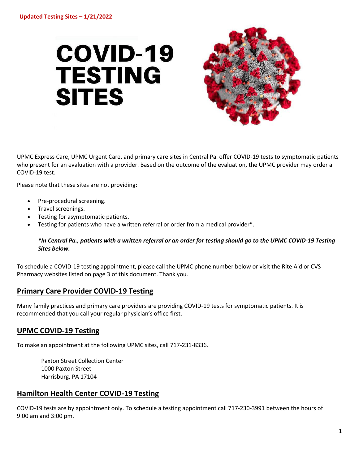# **COVID-19 TESTING SITES**



UPMC Express Care, UPMC Urgent Care, and primary care sites in Central Pa. offer COVID-19 tests to symptomatic patients who present for an evaluation with a provider. Based on the outcome of the evaluation, the UPMC provider may order a COVID-19 test.

Please note that these sites are not providing:

- Pre-procedural screening.
- Travel screenings.
- Testing for asymptomatic patients.
- Testing for patients who have a written referral or order from a medical provider\*.

#### *\*In Central Pa., patients with a written referral or an order for testing should go to the UPMC COVID-19 Testing Sites below.*

To schedule a COVID-19 testing appointment, please call the UPMC phone number below or visit the Rite Aid or CVS Pharmacy websites listed on page 3 of this document. Thank you.

### **Primary Care Provider COVID-19 Testing**

Many family practices and primary care providers are providing COVID-19 tests for symptomatic patients. It is recommended that you call your regular physician's office first.

### **UPMC COVID-19 Testing**

To make an appointment at the following UPMC sites, call 717-231-8336.

Paxton Street Collection Center 1000 Paxton Street Harrisburg, PA 17104

## **Hamilton Health Center COVID-19 Testing**

COVID-19 tests are by appointment only. To schedule a testing appointment call 717-230-3991 between the hours of 9:00 am and 3:00 pm.